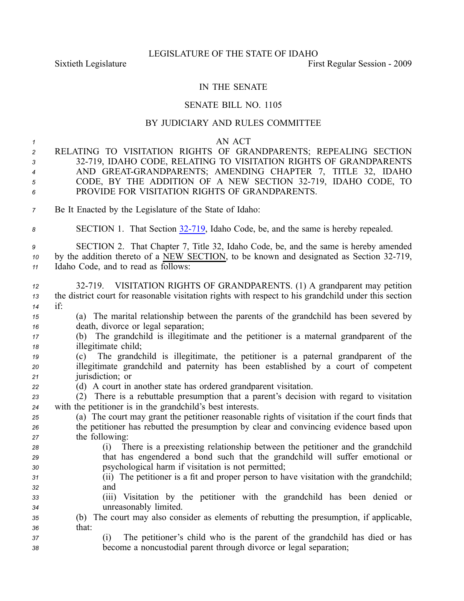## LEGISLATURE OF THE STATE OF IDAHO

Sixtieth Legislature **First** Regular Session - 2009

## IN THE SENATE

## SENATE BILL NO. 1105

## BY JUDICIARY AND RULES COMMITTEE

*1* AN ACT

- *<sup>2</sup>* RELATING TO VISITATION RIGHTS OF GRANDPARENTS; REPEALING SECTION *<sup>3</sup>* 32719, IDAHO CODE, RELATING TO VISITATION RIGHTS OF GRANDPARENTS *<sup>4</sup>* AND GREATGRANDPARENTS; AMENDING CHAPTER 7, TITLE 32, IDAHO *<sup>5</sup>* CODE, BY THE ADDITION OF A NEW SECTION 32719, IDAHO CODE, TO *6* PROVIDE FOR VISITATION RIGHTS OF GRANDPARENTS.
- *<sup>7</sup>* Be It Enacted by the Legislature of the State of Idaho:
- *<sup>8</sup>* SECTION 1. That Section [32719](http://www.legislature.idaho.gov/idstat/Title32/T32CH7SECT32-719.htm), Idaho Code, be, and the same is hereby repealed.

*<sup>9</sup>* SECTION 2. That Chapter 7, Title 32, Idaho Code, be, and the same is hereby amended *10* by the addition thereto of a NEW SECTION, to be known and designated as Section 32-719, *<sup>11</sup>* Idaho Code, and to read as follows:

 32719. VISITATION RIGHTS OF GRANDPARENTS. (1) A grandparent may petition the district court for reasonable visitation rights with respec<sup>t</sup> to his grandchild under this section *<sup>14</sup>* if: (a) The marital relationship between the parents of the grandchild has been severed by death, divorce or legal separation; (b) The grandchild is illegitimate and the petitioner is <sup>a</sup> maternal grandparent of the illegitimate child; (c) The grandchild is illegitimate, the petitioner is <sup>a</sup> paternal grandparent of the illegitimate grandchild and paternity has been established by <sup>a</sup> court of competent jurisdiction; or (d) A court in another state has ordered grandparent visitation. (2) There is <sup>a</sup> rebuttable presumption that <sup>a</sup> parent's decision with regard to visitation with the petitioner is in the grandchild's best interests. (a) The court may gran<sup>t</sup> the petitioner reasonable rights of visitation if the court finds that the petitioner has rebutted the presumption by clear and convincing evidence based upon the following: (i) There is <sup>a</sup> preexisting relationship between the petitioner and the grandchild that has engendered <sup>a</sup> bond such that the grandchild will suffer emotional or psychological harm if visitation is not permitted; (ii) The petitioner is <sup>a</sup> fit and proper person to have visitation with the grandchild; *<sup>32</sup>* and (iii) Visitation by the petitioner with the grandchild has been denied or unreasonably limited. (b) The court may also consider as elements of rebutting the presumption, if applicable, *<sup>36</sup>* that: (i) The petitioner's child who is the paren<sup>t</sup> of the grandchild has died or has become <sup>a</sup> noncustodial paren<sup>t</sup> through divorce or legal separation;